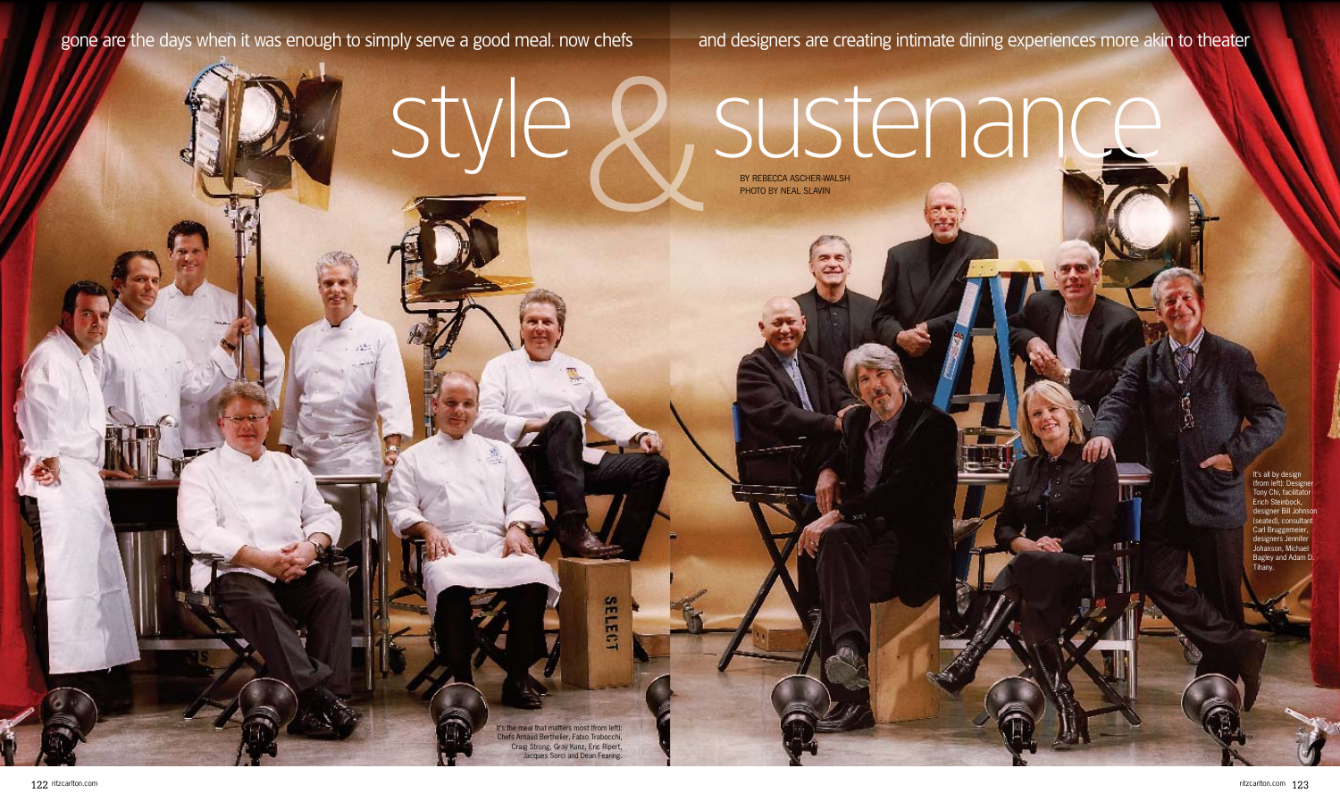## gone are the days when it was enough to simply serve a good meal. now chefs and designers are creating intimate dining experiences more akin to theater

# By Rebecca Ascher-Walsh style & sustenance

PHOTO BY NEAL SLAVIN

ritzcarlton.com 123

t's the meal that matters most (from left): Chefs Arnaud Berthelier, Fabio Trabocchi, Craig Strong, Gray Kunz, Eric Ripert, Jacques Sorci and Dean Fearing.

**SELECT** 

It's all by design (from left): Designer Tony Chi, facilitator Erich Steinbock, designer Bill Johnso (seated), consultant Carl Bruggemeier, designers Jennifer Johanson, Michael Bagley and Adam D. Tihany.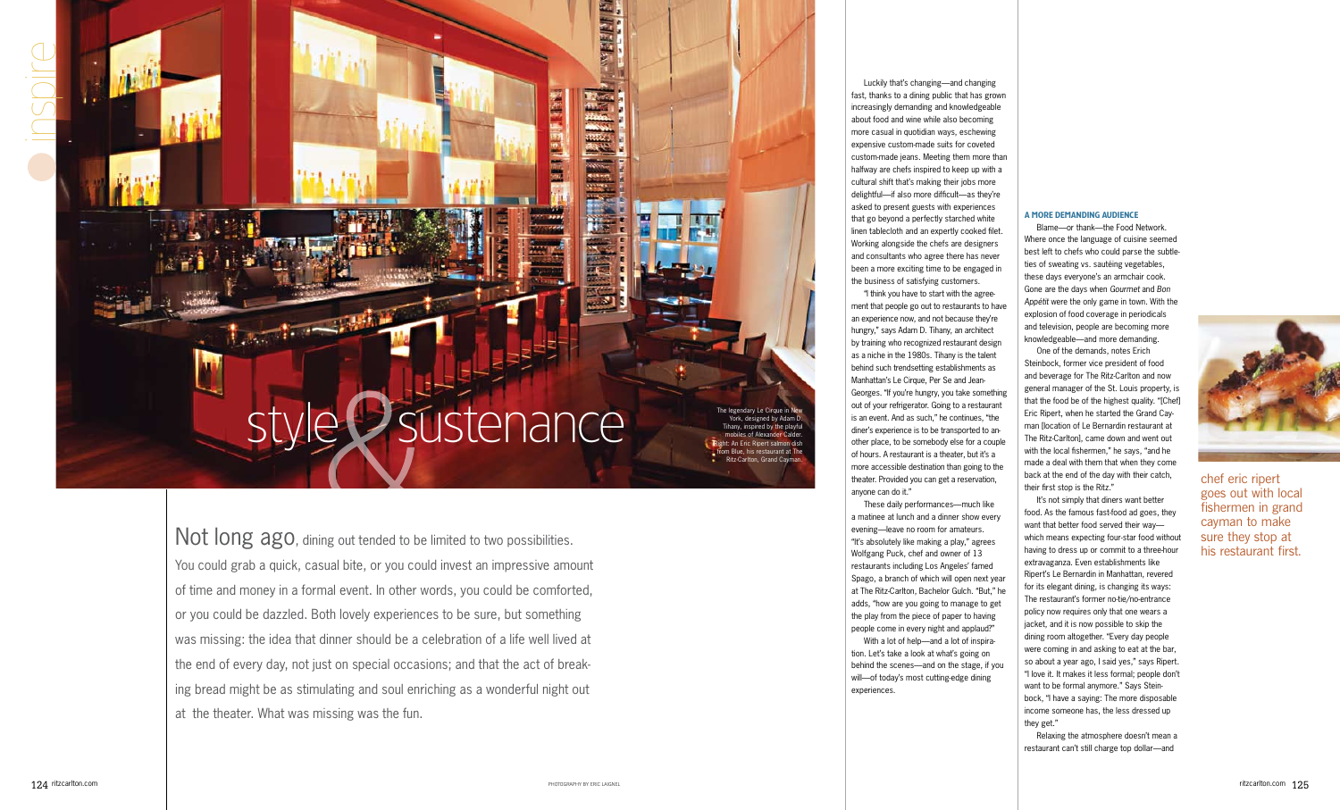Not long ago, dining out tended to be limited to two possibilities. You could grab a quick, casual bite, or you could invest an impressive amount of time and money in a formal event. In other words, you could be comforted, or you could be dazzled. Both lovely experiences to be sure, but something was missing: the idea that dinner should be a celebration of a life well lived at the end of every day, not just on special occasions; and that the act of breaking bread might be as stimulating and soul enriching as a wonderful night out at the theater. What was missing was the fun.

 $\overline{\phantom{a}}$ 

Luckily that's changing—and changing fast, thanks to a dining public that has grown increasingly demanding and knowledgeable about food and wine while also becoming more casual in quotidian ways, eschewing expensive custom-made suits for coveted custom-made jeans. Meeting them more than halfway are chefs inspired to keep up with a cultural shift that's making their jobs more delightful—if also more difficult—as they're asked to present guests with experiences that go beyond a perfectly starched white linen tablecloth and an expertly cooked filet. Working alongside the chefs are designers and consultants who agree there has never been a more exciting time to be engaged in the business of satisfying customers.

"I think you have to start with the agreement that people go out to restaurants to have an experience now, and not because they're hungry," says Adam D. Tihany, an architect by training who recognized restaurant design as a niche in the 1980s. Tihany is the talent behind such trendsetting establishments as Manhattan's Le Cirque, Per Se and Jean-Georges. "If you're hungry, you take something out of your refrigerator. Going to a restaurant is an event. And as such," he continues, "the diner's experience is to be transported to another place, to be somebody else for a couple of hours. A restaurant is a theater, but it's a more accessible destination than going to the theater. Provided you can get a reservation, anyone can do it."

These daily performances—much like a matinee at lunch and a dinner show every evening—leave no room for amateurs. "It's absolutely like making a play," agrees Wolfgang Puck, chef and owner of 13 restaurants including Los Angeles' famed Spago, a branch of which will open next year at The Ritz-Carlton, Bachelor Gulch. "But," he adds, "how are you going to manage to get the play from the piece of paper to having people come in every night and applaud?" With a lot of help—and a lot of inspiration. Let's take a look at what's going on behind the scenes—and on the stage, if you will—of today's most cutting-edge dining

## sustenance

The legendary Le Cirque in New York, designed by Adam D. Tihany, inspired by the playful mobiles of Alexander Calder. Right: An Eric Ripert salmon dish from Blue, his restaurant at The Ritz-Carlton, Grand Cayman.

experiences.

inspire

### A More Demanding Audience

Blame—or thank—the Food Network. Where once the language of cuisine seemed best left to chefs who could parse the subtleties of sweating vs. sautéing vegetables, these days everyone's an armchair cook. Gone are the days when *Gourmet* and *Bon Appétit* were the only game in town. With the explosion of food coverage in periodicals and television, people are becoming more knowledgeable—and more demanding.

One of the demands, notes Erich Steinbock, former vice president of food and beverage for The Ritz-Carlton and now general manager of the St. Louis property, is that the food be of the highest quality. "[Chef] Eric Ripert, when he started the Grand Cayman [location of Le Bernardin restaurant at The Ritz-Carlton], came down and went out with the local fishermen," he says, "and he made a deal with them that when they come back at the end of the day with their catch, their first stop is the Ritz."

It's not simply that diners want better food. As the famous fast-food ad goes, they want that better food served their way which means expecting four-star food without having to dress up or commit to a three-hour extravaganza. Even establishments like Ripert's Le Bernardin in Manhattan, revered for its elegant dining, is changing its ways: The restaurant's former no-tie/no-entrance policy now requires only that one wears a jacket, and it is now possible to skip the dining room altogether. "Every day people were coming in and asking to eat at the bar, so about a year ago, I said yes," says Ripert. "I love it. It makes it less formal; people don't want to be formal anymore." Says Steinbock, "I have a saying: The more disposable income someone has, the less dressed up they get."

Relaxing the atmosphere doesn't mean a restaurant can't still charge top dollar—and



chef eric ripert goes out with local fishermen in grand cayman to make sure they stop at his restaurant first.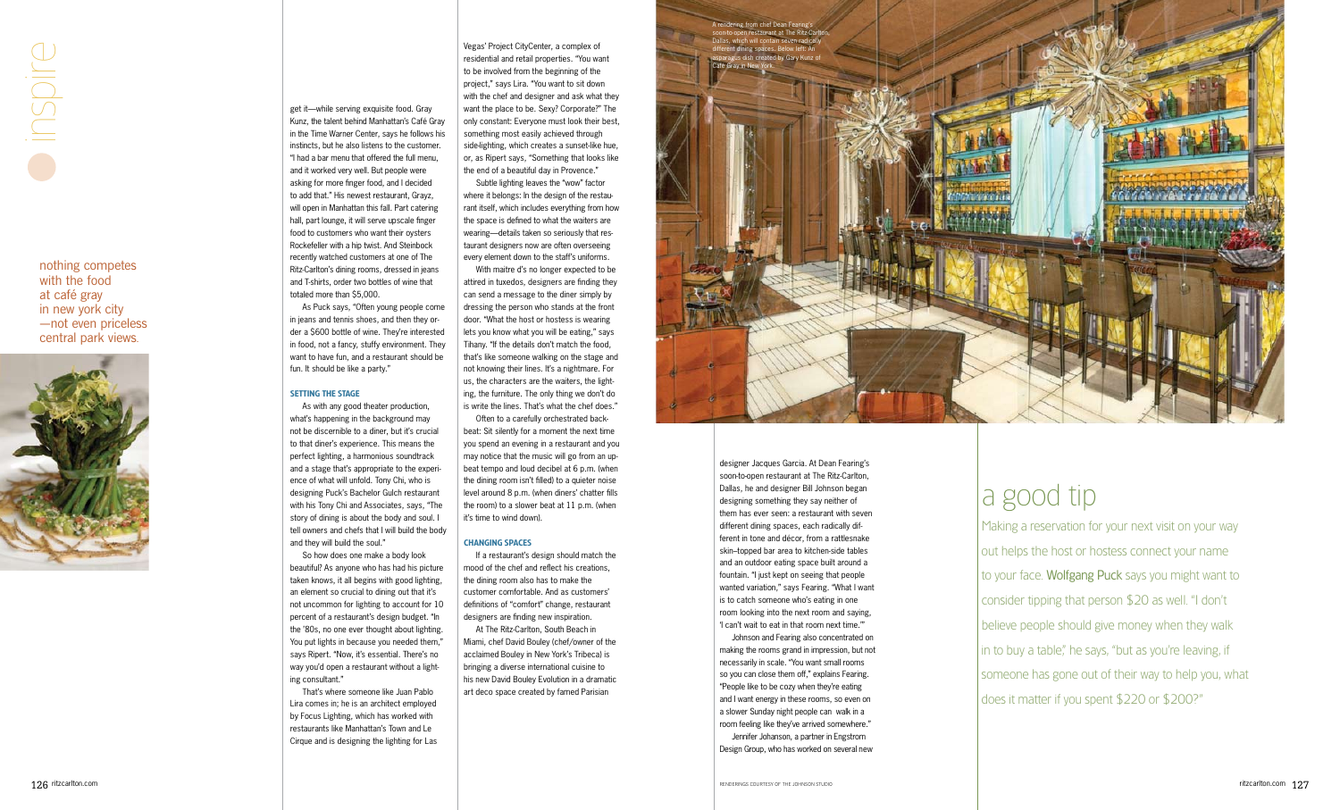



Café Gray in New York.



get it—while serving exquisite food. Gray Kunz, the talent behind Manhattan's Café Gray in the Time Warner Center, says he follows his instincts, but he also listens to the customer. "I had a bar menu that offered the full menu, and it worked very well. But people were asking for more finger food, and I decided to add that." His newest restaurant, Grayz, will open in Manhattan this fall. Part catering hall, part lounge, it will serve upscale finger food to customers who want their oysters Rockefeller with a hip twist. And Steinbock recently watched customers at one of The Ritz-Carlton's dining rooms, dressed in jeans and T-shirts, order two bottles of wine that totaled more than \$5,000.

As Puck says, "Often young people come in jeans and tennis shoes, and then they or der a \$600 bottle of wine. They're interested in food, not a fancy, stuffy environment. They want to have fun, and a restaurant should be fun. It should be like a party."

#### SETTING THE STAGE

As with any good theater production, what's happening in the background may not be discernible to a diner, but it's crucial to that diner's experience. This means the perfect lighting, a harmonious soundtrack and a stage that's appropriate to the experi ence of what will unfold. Tony Chi, who is designing Puck's Bachelor Gulch restaurant with his Tony Chi and Associates, says, "The story of dining is about the body and soul. I tell owners and chefs that I will build the body and they will build the soul."

So how does one make a body look beautiful? As anyone who has had his picture taken knows, it all begins with good lighting, an element so crucial to dining out that it's not uncommon for lighting to account for 10 percent of a restaurant's design budget. "In the '80s, no one ever thought about lighting. You put lights in because you needed them," says Ripert. "Now, it's essential. There's no way you'd open a restaurant without a light ing consultant."

That's where someone like Juan Pablo Lira comes in; he is an architect employed by Focus Lighting, which has worked with restaurants like Manhattan's Town and Le Cirque and is designing the lighting for Las

Vegas' Project CityCenter, a complex of residential and retail properties. "You want to be involved from the beginning of the project," says Lira. "You want to sit down with the chef and designer and ask what they want the place to be. Sexy? Corporate?" The only constant: Everyone must look their best, something most easily achieved through side-lighting, which creates a sunset-like hue, or, as Ripert says, "Something that looks like the end of a beautiful day in Provence."

Subtle lighting leaves the "wow" factor where it belongs: In the design of the restau rant itself, which includes everything from how the space is defined to what the waiters are wearing—details taken so seriously that res taurant designers now are often overseeing every element down to the staff's uniforms.

With maitre d's no longer expected to be attired in tuxedos, designers are finding they can send a message to the diner simply by dressing the person who stands at the front door. "What the host or hostess is wearing lets you know what you will be eating," says Tihany. "If the details don't match the food, that's like someone walking on the stage and not knowing their lines. It's a nightmare. For us, the characters are the waiters, the light ing, the furniture. The only thing we don't do is write the lines. That's what the chef does."

Often to a carefully orchestrated back beat: Sit silently for a moment the next time you spend an evening in a restaurant and you may notice that the music will go from an up beat tempo and loud decibel at 6 p.m. (when the dining room isn't filled) to a quieter noise level around 8 p.m. (when diners' chatter fills the room) to a slower beat at 11 p.m. (when it's time to wind down).

#### Changing Spaces

If a restaurant's design should match the mood of the chef and reflect his creations, the dining room also has to make the customer comfortable. And as customers' definitions of "comfort" change, restaurant designers are finding new inspiration.

At The Ritz-Carlton, South Beach in Miami, chef David Bouley (chef/owner of the acclaimed Bouley in New York's Tribeca) is bringing a diverse international cuisine to his new David Bouley Evolution in a dramatic art deco space created by famed Parisian

designer Jacques Garcia. At Dean Fearing's soon-to-open restaurant at The Ritz-Carlton, Dallas, he and designer Bill Johnson began designing something they say neither of them has ever seen: a restaurant with seven different dining spaces, each radically dif ferent in tone and décor, from a rattlesnake skin–topped bar area to kitchen-side tables and an outdoor eating space built around a fountain. "I just kept on seeing that people wanted variation," says Fearing. "What I want is to catch someone who's eating in one room looking into the next room and saying, 'I can't wait to eat in that room next time.'"

Johnson and Fearing also concentrated on making the rooms grand in impression, but not necessarily in scale. "You want small rooms so you can close them off," explains Fearing. "People like to be cozy when they're eating and I want energy in these rooms, so even on a slower Sunday night people can walk in a room feeling like they've arrived somewhere."

Jennifer Johanson, a partner in Engstrom Design Group, who has worked on several new

## a good tip

Making a reservation for your next visit on your way out helps the host or hostess connect your name to your face. Wolfgang Puck says you might want to consider tipping that person \$20 as well. "I don't believe people should give money when they walk in to buy a table," he says, "but as you're leaving, if someone has gone out of their way to help you, what does it matter if you spent \$220 or \$200?"

nothing competes with the food at café gray in new york city —not even priceless central park views .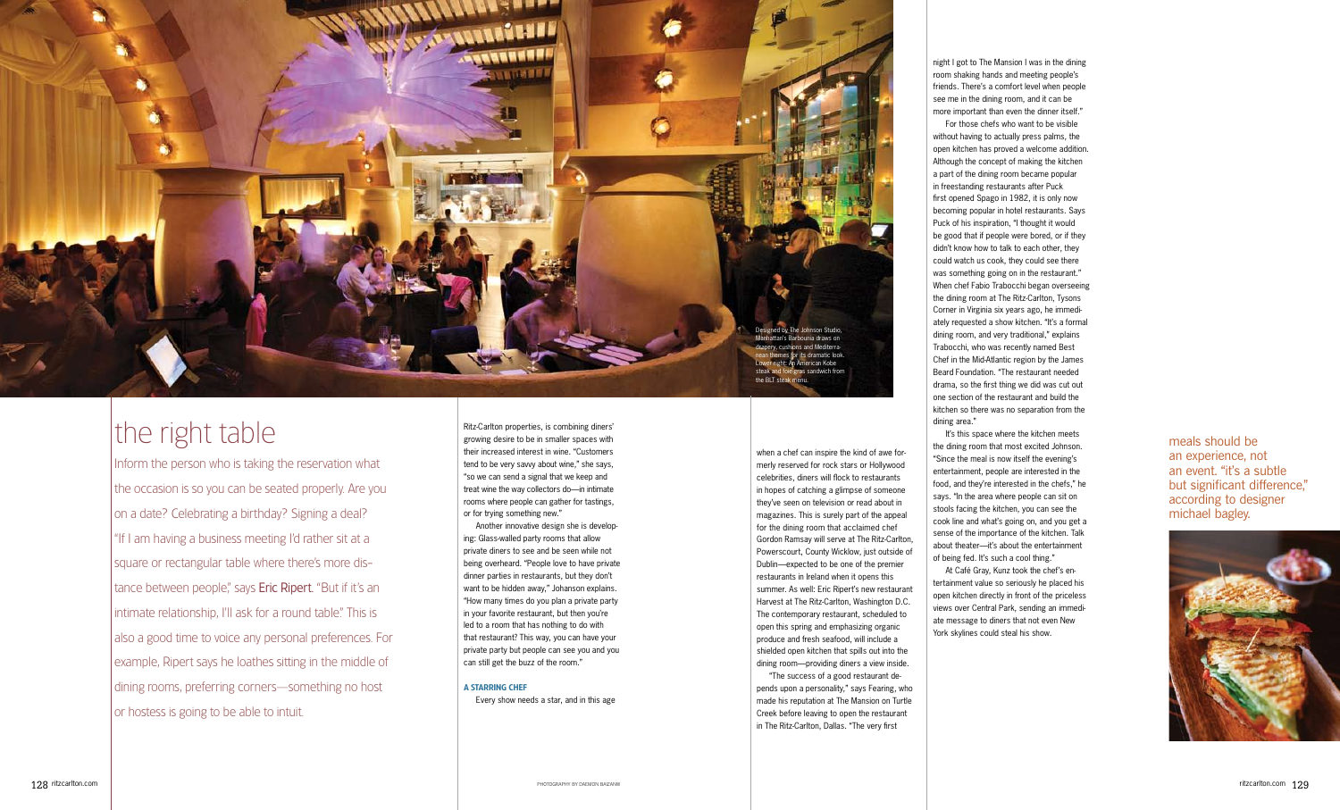

## the right table

Inform the person who is taking the reservation what the occasion is so you can be seated properly. Are you on a date? Celebrating a birthday? Signing a deal? "If I am having a business meeting I'd rather sit at a square or rectangular table where there's more dis tance between people," says Eric Ripert. "But if it's an intimate relationship, I'll ask for a round table." This is also a good time to voice any personal preferences. For example, Ripert says he loathes sitting in the middle of dining rooms, preferring corners—something no host or hostess is going to be able to intuit.

when a chef can inspire the kind of awe for merly reserved for rock stars or Hollywood celebrities, diners will flock to restaurants in hopes of catching a glimpse of someone they've seen on television or read about in magazines. This is surely part of the appeal for the dining room that acclaimed chef Gordon Ramsay will serve at The Ritz-Carlton, Powerscourt, County Wicklow, just outside of Dublin—expected to be one of the premier restaurants in Ireland when it opens this summer. As well: Eric Ripert's new restaurant Harvest at The Ritz-Carlton, Washington D.C. The contemporary restaurant, scheduled to open this spring and emphasizing organic produce and fresh seafood, will include a shielded open kitchen that spills out into the dining room—providing diners a view inside.

"The success of a good restaurant de pends upon a personality," says Fearing, who made his reputation at The Mansion on Turtle Creek before leaving to open the restaurant in The Ritz-Carlton, Dallas. "The very first

Ritz-Carlton properties, is combining diners' growing desire to be in smaller spaces with their increased interest in wine. "Customers tend to be very savvy about wine," she says, "so we can send a signal that we keep and treat wine the way collectors do—in intimate rooms where people can gather for tastings, or for trying something new."

Another innovative design she is develop ing: Glass-walled party rooms that allow private diners to see and be seen while not being overheard. "People love to have private dinner parties in restaurants, but they don't want to be hidden away," Johanson explains. "How many times do you plan a private party in your favorite restaurant, but then you're led to a room that has nothing to do with that restaurant? This way, you can have your private party but people can see you and you can still get the buzz of the room."

#### A Starring Chef

Every show needs a star, and in this age

night I got to The Mansion I was in the dining room shaking hands and meeting people's friends. There's a comfort level when people see me in the dining room, and it can be more important than even the dinner itself."

For those chefs who want to be visible without having to actually press palms, the open kitchen has proved a welcome addition. Although the concept of making the kitchen a part of the dining room became popular in freestanding restaurants after Puck first opened Spago in 1982, it is only now becoming popular in hotel restaurants. Says Puck of his inspiration, "I thought it would be good that if people were bored, or if they didn't know how to talk to each other, they could watch us cook, they could see there was something going on in the restaurant." When chef Fabio Trabocchi began overseeing the dining room at The Ritz-Carlton, Tysons Corner in Virginia six years ago, he immedi ately requested a show kitchen. "It's a formal dining room, and very traditional," explains Trabocchi, who was recently named Best Chef in the Mid-Atlantic region by the James Beard Foundation. "The restaurant needed drama, so the first thing we did was cut out one section of the restaurant and build the kitchen so there was no separation from the dining area."

It's this space where the kitchen meets the dining room that most excited Johnson. "Since the meal is now itself the evening's entertainment, people are interested in the food, and they're interested in the chefs," he says. "In the area where people can sit on stools facing the kitchen, you can see the cook line and what's going on, and you get a sense of the importance of the kitchen. Talk about theater—it's about the entertainment of being fed. It's such a cool thing."

At Café Gray, Kunz took the chef's en tertainment value so seriously he placed his open kitchen directly in front of the priceless views over Central Park, sending an immedi ate message to diners that not even New York skylines could steal his show.

meals should be an experience, not an event. "it's a subtle but significant difference," according to designer michael bagley.